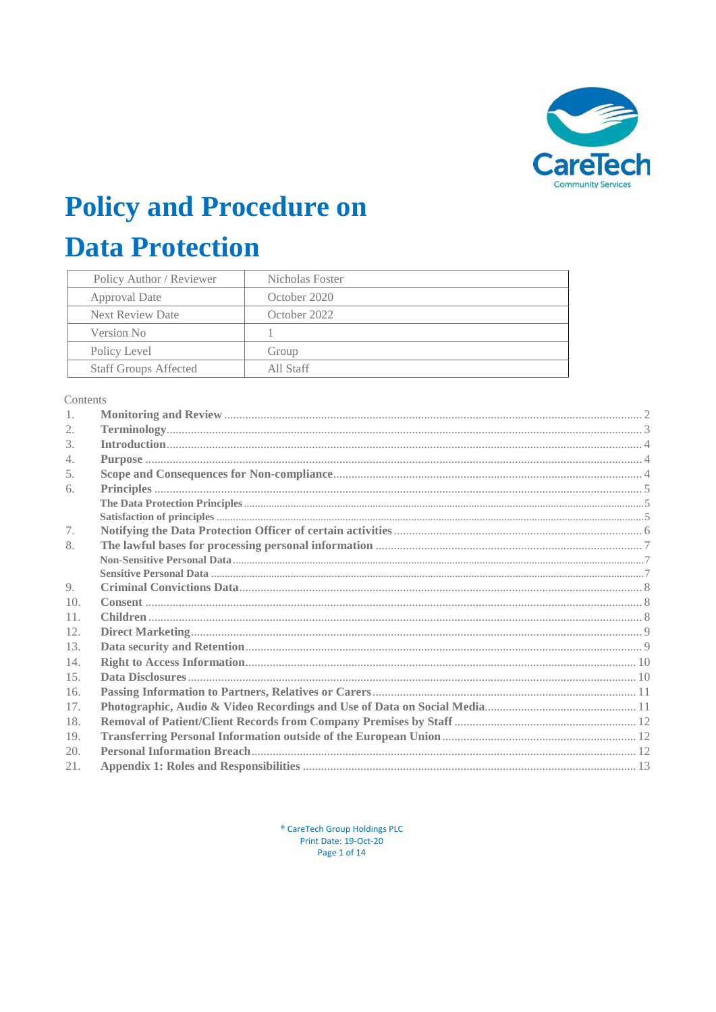

# **Policy and Procedure on**

# **Data Protection**

| Policy Author / Reviewer     | Nicholas Foster |
|------------------------------|-----------------|
| Approval Date                | October 2020    |
| <b>Next Review Date</b>      | October 2022    |
| Version No                   |                 |
| Policy Level                 | Group           |
| <b>Staff Groups Affected</b> | All Staff       |

Contents

| 1.  |  |  |
|-----|--|--|
| 2.  |  |  |
| 3.  |  |  |
| 4.  |  |  |
| 5.  |  |  |
| 6.  |  |  |
|     |  |  |
|     |  |  |
| 7.  |  |  |
| 8.  |  |  |
|     |  |  |
|     |  |  |
| 9.  |  |  |
| 10. |  |  |
| 11. |  |  |
| 12. |  |  |
| 13. |  |  |
| 14. |  |  |
| 15. |  |  |
| 16. |  |  |
| 17. |  |  |
| 18. |  |  |
| 19. |  |  |
| 20. |  |  |
| 21. |  |  |

<sup>®</sup> CareTech Group Holdings PLC Print Date: 19-Oct-20 Page 1 of 14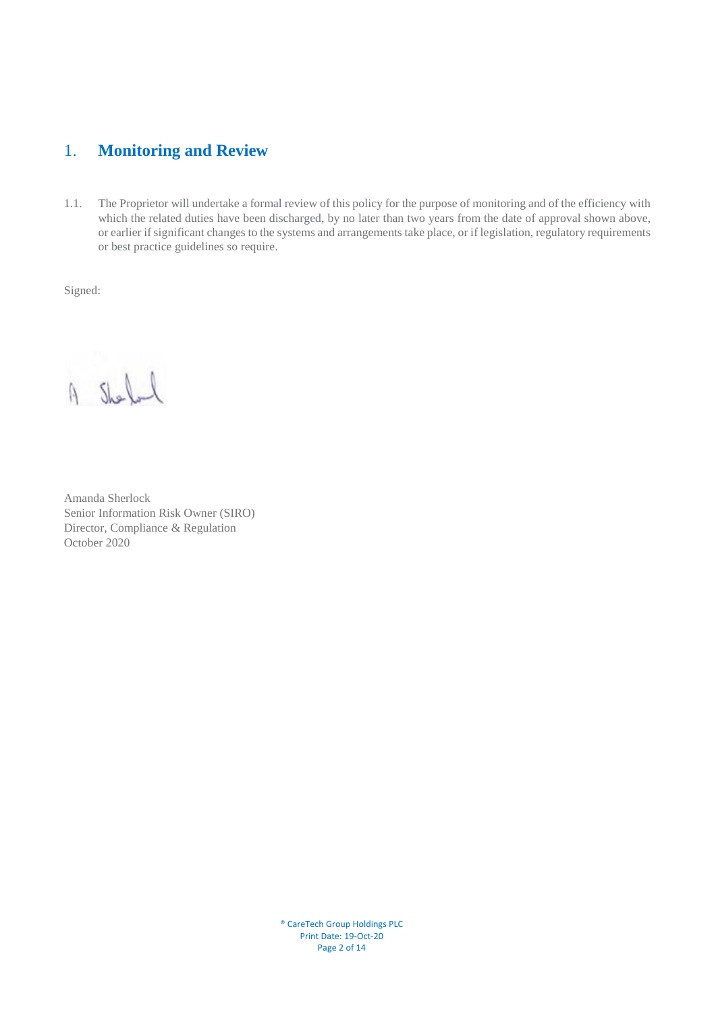# <span id="page-1-0"></span>1. **Monitoring and Review**

1.1. The Proprietor will undertake a formal review of this policy for the purpose of monitoring and of the efficiency with which the related duties have been discharged, by no later than two years from the date of approval shown above, or earlier if significant changes to the systems and arrangements take place, or if legislation, regulatory requirements or best practice guidelines so require.

Signed:

A Shell

Amanda Sherlock Senior Information Risk Owner (SIRO) Director, Compliance & Regulation October 2020

® CareTech Group Holdings PLC Print Date: 19-Oct-20 Page 2 of 14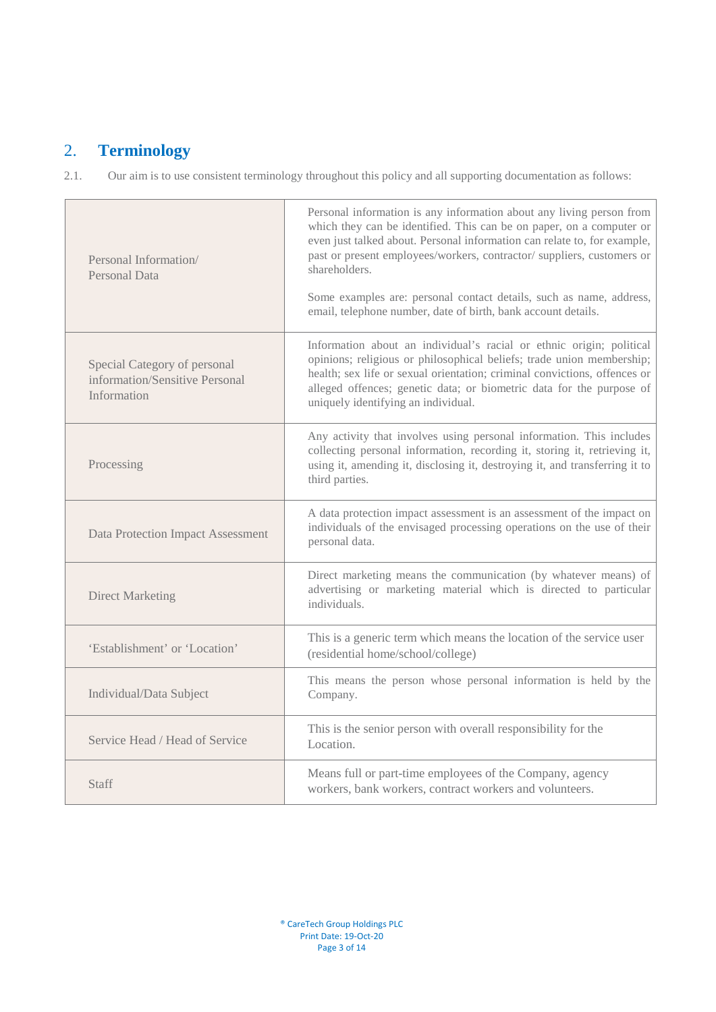# <span id="page-2-0"></span>2. **Terminology**

2.1.Our aim is to use consistent terminology throughout this policy and all supporting documentation as follows:

| Personal Information/<br><b>Personal Data</b>                                 | Personal information is any information about any living person from<br>which they can be identified. This can be on paper, on a computer or<br>even just talked about. Personal information can relate to, for example,<br>past or present employees/workers, contractor/ suppliers, customers or<br>shareholders.<br>Some examples are: personal contact details, such as name, address,<br>email, telephone number, date of birth, bank account details. |
|-------------------------------------------------------------------------------|-------------------------------------------------------------------------------------------------------------------------------------------------------------------------------------------------------------------------------------------------------------------------------------------------------------------------------------------------------------------------------------------------------------------------------------------------------------|
| Special Category of personal<br>information/Sensitive Personal<br>Information | Information about an individual's racial or ethnic origin; political<br>opinions; religious or philosophical beliefs; trade union membership;<br>health; sex life or sexual orientation; criminal convictions, offences or<br>alleged offences; genetic data; or biometric data for the purpose of<br>uniquely identifying an individual.                                                                                                                   |
| Processing                                                                    | Any activity that involves using personal information. This includes<br>collecting personal information, recording it, storing it, retrieving it,<br>using it, amending it, disclosing it, destroying it, and transferring it to<br>third parties.                                                                                                                                                                                                          |
| <b>Data Protection Impact Assessment</b>                                      | A data protection impact assessment is an assessment of the impact on<br>individuals of the envisaged processing operations on the use of their<br>personal data.                                                                                                                                                                                                                                                                                           |
| <b>Direct Marketing</b>                                                       | Direct marketing means the communication (by whatever means) of<br>advertising or marketing material which is directed to particular<br>individuals.                                                                                                                                                                                                                                                                                                        |
| 'Establishment' or 'Location'                                                 | This is a generic term which means the location of the service user<br>(residential home/school/college)                                                                                                                                                                                                                                                                                                                                                    |
| Individual/Data Subject                                                       | This means the person whose personal information is held by the<br>Company.                                                                                                                                                                                                                                                                                                                                                                                 |
| Service Head / Head of Service                                                | This is the senior person with overall responsibility for the<br>Location.                                                                                                                                                                                                                                                                                                                                                                                  |
| <b>Staff</b>                                                                  | Means full or part-time employees of the Company, agency<br>workers, bank workers, contract workers and volunteers.                                                                                                                                                                                                                                                                                                                                         |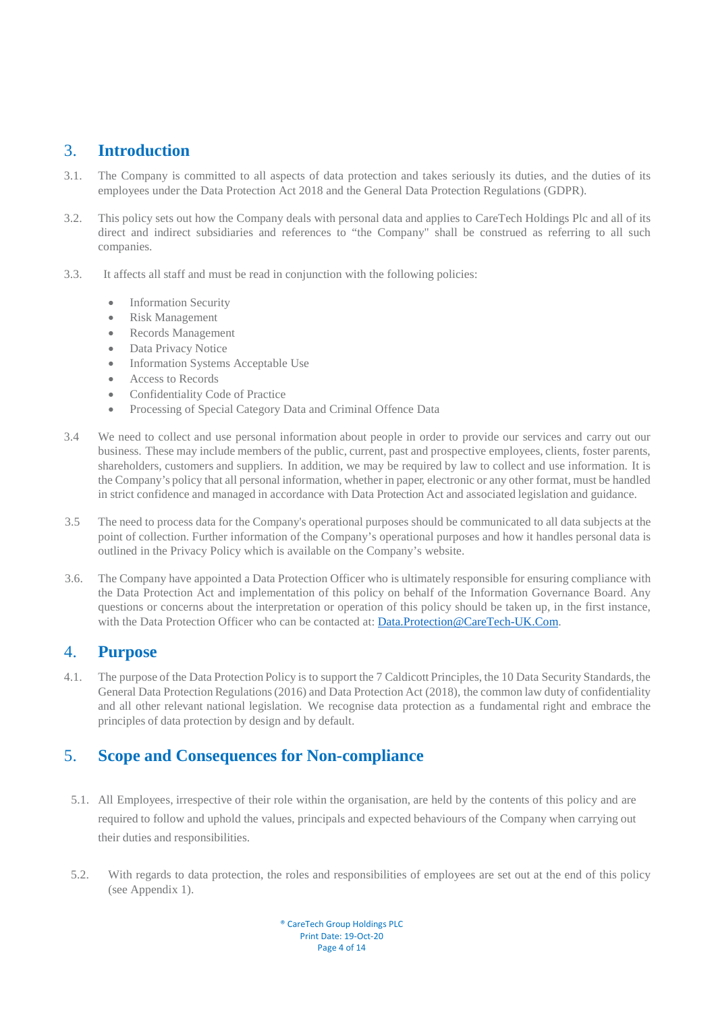# <span id="page-3-0"></span>3. **Introduction**

- 3.1. The Company is committed to all aspects of data protection and takes seriously its duties, and the duties of its employees under the Data Protection Act 2018 and the General Data Protection Regulations (GDPR).
- 3.2.This policy sets out how the Company deals with personal data and applies to CareTech Holdings Plc and all of its direct and indirect subsidiaries and references to "the Company" shall be construed as referring to all such companies.
- 3.3. It affects all staff and must be read in conjunction with the following policies:
	- Information Security
	- Risk Management
	- Records Management
	- Data Privacy Notice
	- Information Systems Acceptable Use
	- **Access to Records**
	- Confidentiality Code of Practice
	- Processing of Special Category Data and Criminal Offence Data
- 3.4 We need to collect and use personal information about people in order to provide our services and carry out our business. These may include members of the public, current, past and prospective employees, clients, foster parents, shareholders, customers and suppliers. In addition, we may be required by law to collect and use information. It is the Company's policy that all personal information, whether in paper, electronic or any other format, must be handled in strict confidence and managed in accordance with Data Protection Act and associated legislation and guidance.
- 3.5 The need to process data for the Company's operational purposes should be communicated to all data subjects at the point of collection. Further information of the Company's operational purposes and how it handles personal data is outlined in the Privacy Policy which is available on the Company's website.
- 3.6. The Company have appointed a Data Protection Officer who is ultimately responsible for ensuring compliance with the Data Protection Act and implementation of this policy on behalf of the Information Governance Board. Any questions or concerns about the interpretation or operation of this policy should be taken up, in the first instance, with the Data Protection Officer who can be contacted at: [Data.Protection@CareTech-UK.Com.](mailto:Data.Protection@CareTech-UK.Com)

## <span id="page-3-1"></span>4. **Purpose**

4.1. The purpose of the Data Protection Policy is to support the 7 Caldicott Principles, the 10 Data Security Standards, the General Data Protection Regulations (2016) and Data Protection Act (2018), the common law duty of confidentiality and all other relevant national legislation. We recognise data protection as a fundamental right and embrace the principles of data protection by design and by default.

# <span id="page-3-2"></span>5. **Scope and Consequences for Non-compliance**

- 5.1. All Employees, irrespective of their role within the organisation, are held by the contents of this policy and are required to follow and uphold the values, principals and expected behaviours of the Company when carrying out their duties and responsibilities.
- 5.2. With regards to data protection, the roles and responsibilities of employees are set out at the end of this policy (see Appendix 1).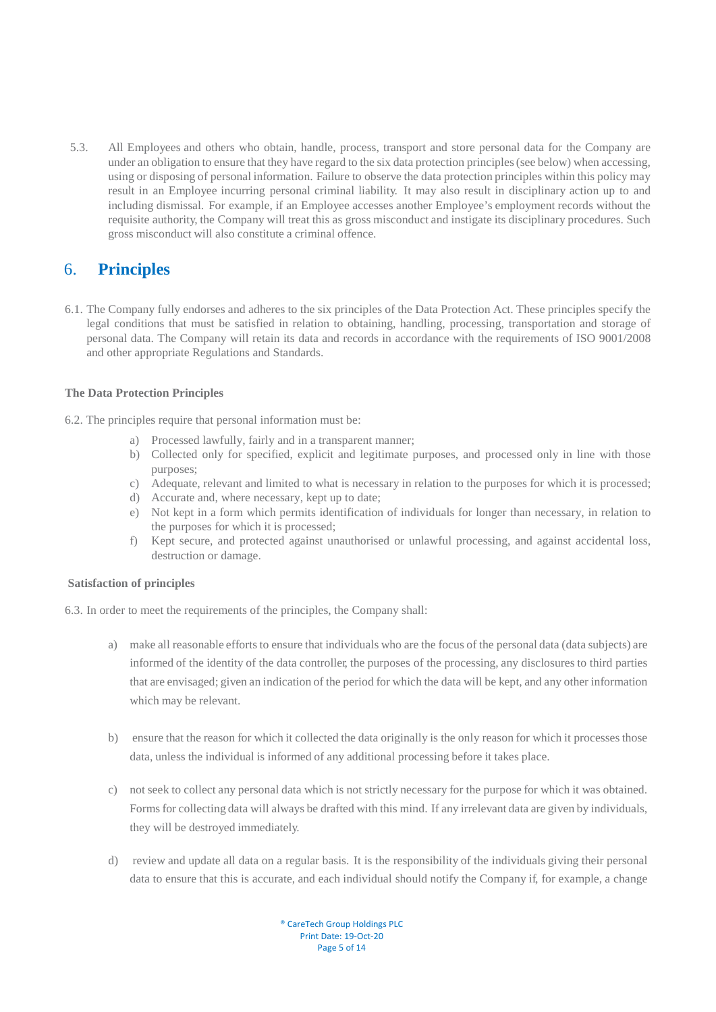5.3. All Employees and others who obtain, handle, process, transport and store personal data for the Company are under an obligation to ensure that they have regard to the six data protection principles (see below) when accessing, using or disposing of personal information. Failure to observe the data protection principles within this policy may result in an Employee incurring personal criminal liability. It may also result in disciplinary action up to and including dismissal. For example, if an Employee accesses another Employee's employment records without the requisite authority, the Company will treat this as gross misconduct and instigate its disciplinary procedures. Such gross misconduct will also constitute a criminal offence.

# <span id="page-4-0"></span>6. **Principles**

6.1. The Company fully endorses and adheres to the six principles of the Data Protection Act. These principles specify the legal conditions that must be satisfied in relation to obtaining, handling, processing, transportation and storage of personal data. The Company will retain its data and records in accordance with the requirements of ISO 9001/2008 and other appropriate Regulations and Standards.

#### <span id="page-4-1"></span>**The Data Protection Principles**

- 6.2. The principles require that personal information must be:
	- a) Processed lawfully, fairly and in a transparent manner;
	- b) Collected only for specified, explicit and legitimate purposes, and processed only in line with those purposes;
	- c) Adequate, relevant and limited to what is necessary in relation to the purposes for which it is processed;
	- d) Accurate and, where necessary, kept up to date;
	- e) Not kept in a form which permits identification of individuals for longer than necessary, in relation to the purposes for which it is processed;
	- f) Kept secure, and protected against unauthorised or unlawful processing, and against accidental loss, destruction or damage.

#### <span id="page-4-2"></span>**Satisfaction of principles**

- 6.3. In order to meet the requirements of the principles, the Company shall:
	- a) make all reasonable efforts to ensure that individuals who are the focus of the personal data (data subjects) are informed of the identity of the data controller, the purposes of the processing, any disclosures to third parties that are envisaged; given an indication of the period for which the data will be kept, and any other information which may be relevant.
	- b) ensure that the reason for which it collected the data originally is the only reason for which it processes those data, unless the individual is informed of any additional processing before it takes place.
	- c) not seek to collect any personal data which is not strictly necessary for the purpose for which it was obtained. Forms for collecting data will always be drafted with this mind. If any irrelevant data are given by individuals, they will be destroyed immediately.
	- d) review and update all data on a regular basis. It is the responsibility of the individuals giving their personal data to ensure that this is accurate, and each individual should notify the Company if, for example, a change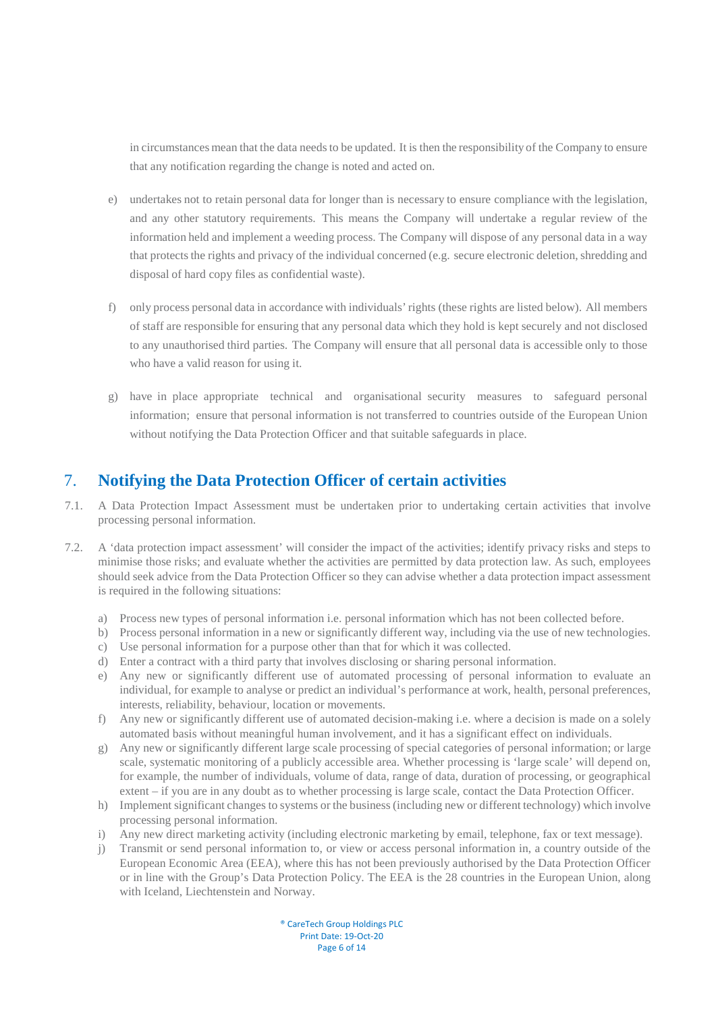in circumstances mean that the data needs to be updated. It is then the responsibility of the Company to ensure that any notification regarding the change is noted and acted on.

- e) undertakes not to retain personal data for longer than is necessary to ensure compliance with the legislation, and any other statutory requirements. This means the Company will undertake a regular review of the information held and implement a weeding process. The Company will dispose of any personal data in a way that protects the rights and privacy of the individual concerned (e.g. secure electronic deletion, shredding and disposal of hard copy files as confidential waste).
- f) only process personal data in accordance with individuals' rights (these rights are listed below). All members of staff are responsible for ensuring that any personal data which they hold is kept securely and not disclosed to any unauthorised third parties. The Company will ensure that all personal data is accessible only to those who have a valid reason for using it.
- g) have in place appropriate technical and organisational security measures to safeguard personal information; ensure that personal information is not transferred to countries outside of the European Union without notifying the Data Protection Officer and that suitable safeguards in place.

# <span id="page-5-0"></span>7. **Notifying the Data Protection Officer of certain activities**

- 7.1. A Data Protection Impact Assessment must be undertaken prior to undertaking certain activities that involve processing personal information.
- 7.2. A 'data protection impact assessment' will consider the impact of the activities; identify privacy risks and steps to minimise those risks; and evaluate whether the activities are permitted by data protection law. As such, employees should seek advice from the Data Protection Officer so they can advise whether a data protection impact assessment is required in the following situations:
	- a) Process new types of personal information i.e. personal information which has not been collected before.
	- b) Process personal information in a new or significantly different way, including via the use of new technologies.
	- c) Use personal information for a purpose other than that for which it was collected.
	- d) Enter a contract with a third party that involves disclosing or sharing personal information.
	- e) Any new or significantly different use of automated processing of personal information to evaluate an individual, for example to analyse or predict an individual's performance at work, health, personal preferences, interests, reliability, behaviour, location or movements.
	- f) Any new or significantly different use of automated decision-making i.e. where a decision is made on a solely automated basis without meaningful human involvement, and it has a significant effect on individuals.
	- g) Any new or significantly different large scale processing of special categories of personal information; or large scale, systematic monitoring of a publicly accessible area. Whether processing is 'large scale' will depend on, for example, the number of individuals, volume of data, range of data, duration of processing, or geographical extent – if you are in any doubt as to whether processing is large scale, contact the Data Protection Officer.
	- h) Implement significant changes to systems or the business (including new or different technology) which involve processing personal information.
	- i) Any new direct marketing activity (including electronic marketing by email, telephone, fax or text message).
	- j) Transmit or send personal information to, or view or access personal information in, a country outside of the European Economic Area (EEA), where this has not been previously authorised by the Data Protection Officer or in line with the Group's Data Protection Policy. The EEA is the 28 countries in the European Union, along with Iceland, Liechtenstein and Norway.

® CareTech Group Holdings PLC Print Date: 19-Oct-20 Page 6 of 14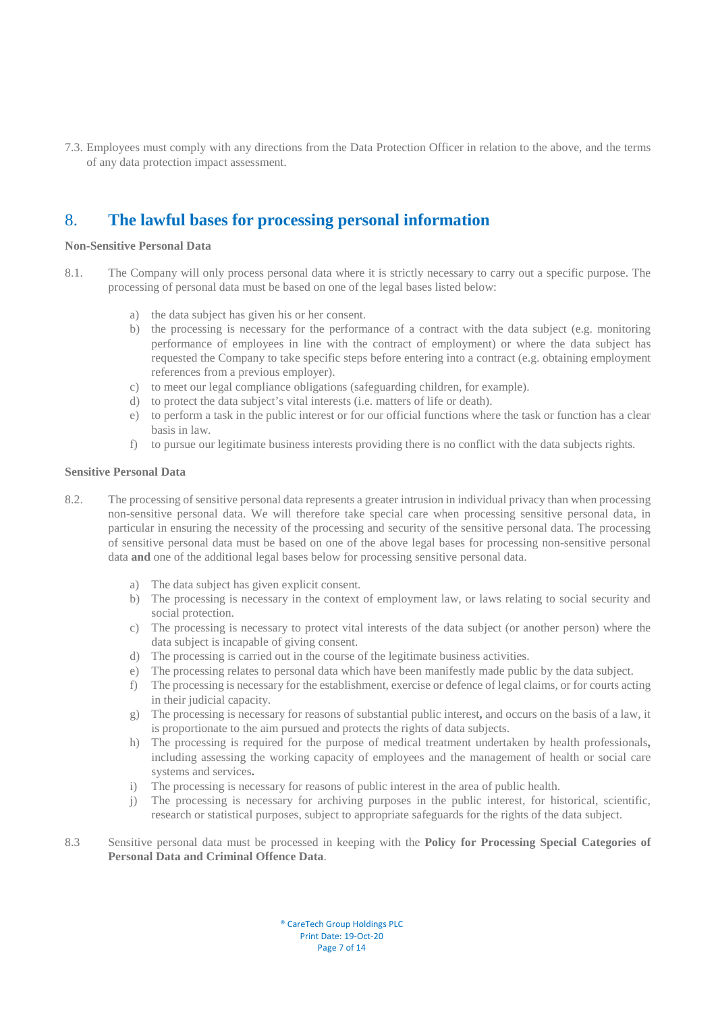7.3. Employees must comply with any directions from the Data Protection Officer in relation to the above, and the terms of any data protection impact assessment.

# <span id="page-6-0"></span>8. **The lawful bases for processing personal information**

#### <span id="page-6-1"></span>**Non-Sensitive Personal Data**

- 8.1. The Company will only process personal data where it is strictly necessary to carry out a specific purpose. The processing of personal data must be based on one of the legal bases listed below:
	- a) the data subject has given his or her consent.
	- b) the processing is necessary for the performance of a contract with the data subject (e.g. monitoring performance of employees in line with the contract of employment) or where the data subject has requested the Company to take specific steps before entering into a contract (e.g. obtaining employment references from a previous employer).
	- c) to meet our legal compliance obligations (safeguarding children, for example).
	- d) to protect the data subject's vital interests (i.e. matters of life or death).
	- e) to perform a task in the public interest or for our official functions where the task or function has a clear basis in law.
	- f) to pursue our legitimate business interests providing there is no conflict with the data subjects rights.

#### <span id="page-6-2"></span>**Sensitive Personal Data**

- 8.2. The processing of sensitive personal data represents a greater intrusion in individual privacy than when processing non-sensitive personal data. We will therefore take special care when processing sensitive personal data, in particular in ensuring the necessity of the processing and security of the sensitive personal data. The processing of sensitive personal data must be based on one of the above legal bases for processing non-sensitive personal data **and** one of the additional legal bases below for processing sensitive personal data.
	- a) The data subject has given explicit consent.
	- b) The processing is necessary in the context of employment law, or laws relating to social security and social protection.
	- c) The processing is necessary to protect vital interests of the data subject (or another person) where the data subject is incapable of giving consent.
	- d) The processing is carried out in the course of the legitimate business activities.
	- e) The processing relates to personal data which have been manifestly made public by the data subject.
	- f) The processing is necessary for the establishment, exercise or defence of legal claims, or for courts acting in their judicial capacity.
	- g) The processing is necessary for reasons of substantial public interest**,** and occurs on the basis of a law, it is proportionate to the aim pursued and protects the rights of data subjects.
	- h) The processing is required for the purpose of medical treatment undertaken by health professionals**,**  including assessing the working capacity of employees and the management of health or social care systems and services**.**
	- i) The processing is necessary for reasons of public interest in the area of public health.
	- j) The processing is necessary for archiving purposes in the public interest, for historical, scientific, research or statistical purposes, subject to appropriate safeguards for the rights of the data subject.
- 8.3 Sensitive personal data must be processed in keeping with the **Policy for Processing Special Categories of Personal Data and Criminal Offence Data**.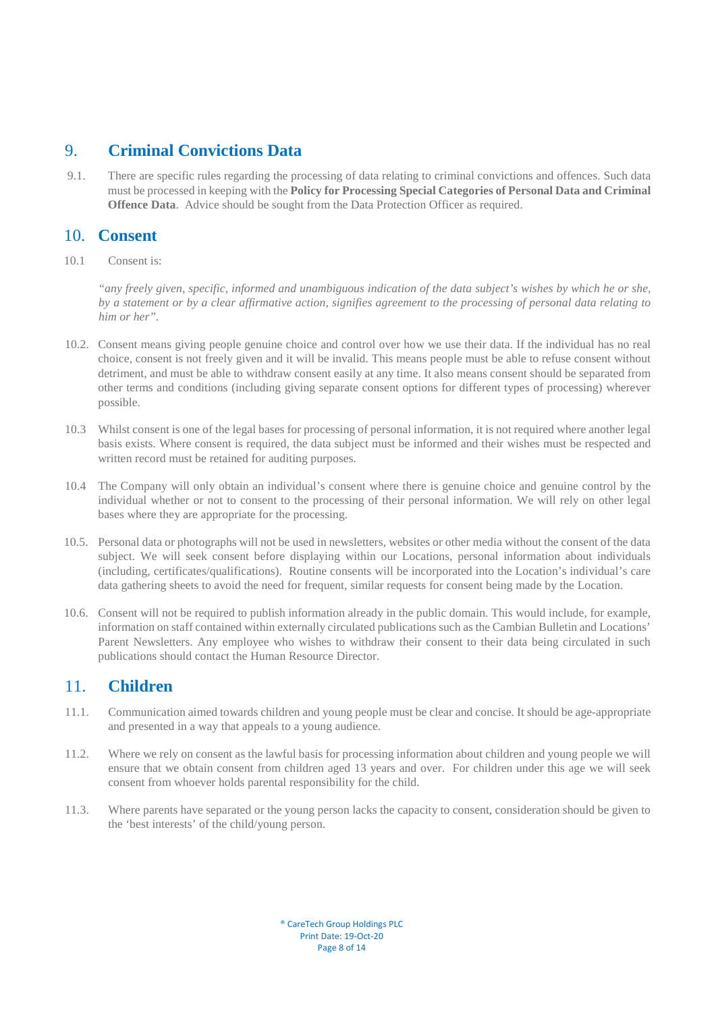## <span id="page-7-0"></span>9. **Criminal Convictions Data**

9.1. There are specific rules regarding the processing of data relating to criminal convictions and offences. Such data must be processed in keeping with the **Policy for Processing Special Categories of Personal Data and Criminal Offence Data**. Advice should be sought from the Data Protection Officer as required.

# <span id="page-7-1"></span>10. **Consent**

10.1 Consent is:

*"any freely given, specific, informed and unambiguous indication of the data subject's wishes by which he or she, by a statement or by a clear affirmative action, signifies agreement to the processing of personal data relating to him or her".* 

- 10.2. Consent means giving people genuine choice and control over how we use their data. If the individual has no real choice, consent is not freely given and it will be invalid. This means people must be able to refuse consent without detriment, and must be able to withdraw consent easily at any time. It also means consent should be separated from other terms and conditions (including giving separate consent options for different types of processing) wherever possible.
- 10.3 Whilst consent is one of the legal bases for processing of personal information, it is not required where another legal basis exists. Where consent is required, the data subject must be informed and their wishes must be respected and written record must be retained for auditing purposes.
- 10.4 The Company will only obtain an individual's consent where there is genuine choice and genuine control by the individual whether or not to consent to the processing of their personal information. We will rely on other legal bases where they are appropriate for the processing.
- 10.5.Personal data or photographs will not be used in newsletters, websites or other media without the consent of the data subject. We will seek consent before displaying within our Locations, personal information about individuals (including, certificates/qualifications). Routine consents will be incorporated into the Location's individual's care data gathering sheets to avoid the need for frequent, similar requests for consent being made by the Location.
- 10.6. Consent will not be required to publish information already in the public domain. This would include, for example, information on staff contained within externally circulated publications such as the Cambian Bulletin and Locations' Parent Newsletters. Any employee who wishes to withdraw their consent to their data being circulated in such publications should contact the Human Resource Director.

## <span id="page-7-2"></span>11. **Children**

- 11.1. Communication aimed towards children and young people must be clear and concise. It should be age-appropriate and presented in a way that appeals to a young audience.
- 11.2. Where we rely on consent as the lawful basis for processing information about children and young people we will ensure that we obtain consent from children aged 13 years and over. For children under this age we will seek consent from whoever holds parental responsibility for the child.
- 11.3. Where parents have separated or the young person lacks the capacity to consent, consideration should be given to the 'best interests' of the child/young person.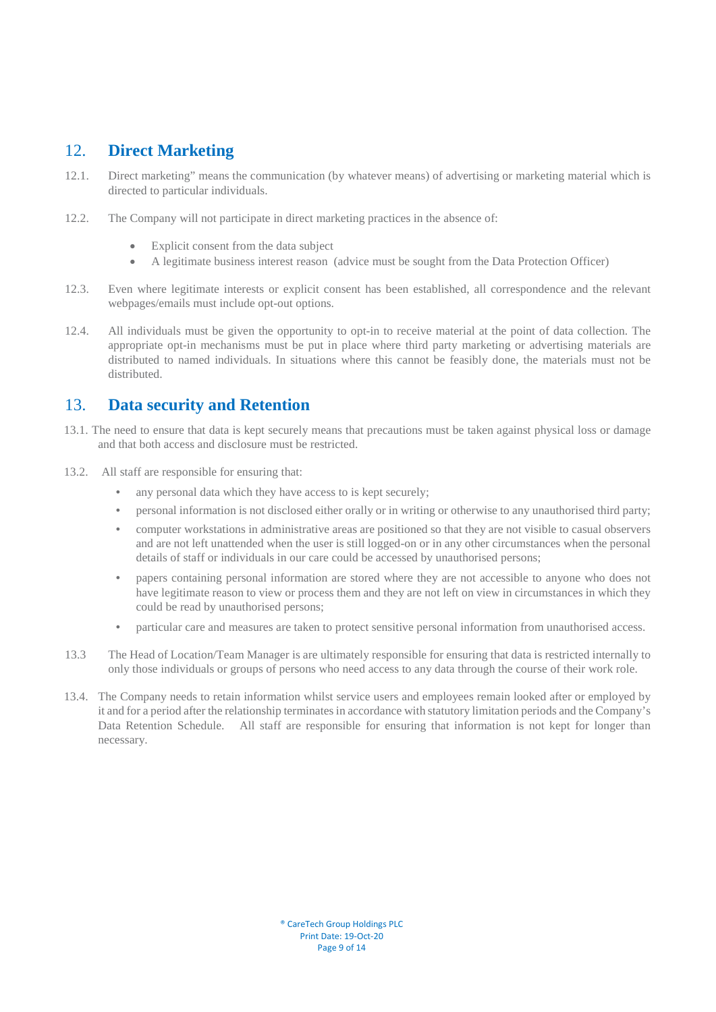# <span id="page-8-0"></span>12. **Direct Marketing**

- 12.1. Direct marketing" means the communication (by whatever means) of advertising or marketing material which is directed to particular individuals.
- 12.2. The Company will not participate in direct marketing practices in the absence of:
	- Explicit consent from the data subject
	- A legitimate business interest reason (advice must be sought from the Data Protection Officer)
- 12.3. Even where legitimate interests or explicit consent has been established, all correspondence and the relevant webpages/emails must include opt-out options.
- 12.4. All individuals must be given the opportunity to opt-in to receive material at the point of data collection. The appropriate opt-in mechanisms must be put in place where third party marketing or advertising materials are distributed to named individuals. In situations where this cannot be feasibly done, the materials must not be distributed.

# <span id="page-8-1"></span>13. **Data security and Retention**

- 13.1. The need to ensure that data is kept securely means that precautions must be taken against physical loss or damage and that both access and disclosure must be restricted.
- 13.2.All staff are responsible for ensuring that:
	- any personal data which they have access to is kept securely;
	- personal information is not disclosed either orally or in writing or otherwise to any unauthorised third party;
	- computer workstations in administrative areas are positioned so that they are not visible to casual observers and are not left unattended when the user is still logged-on or in any other circumstances when the personal details of staff or individuals in our care could be accessed by unauthorised persons;
	- papers containing personal information are stored where they are not accessible to anyone who does not have legitimate reason to view or process them and they are not left on view in circumstances in which they could be read by unauthorised persons;
	- particular care and measures are taken to protect sensitive personal information from unauthorised access.
- 13.3 The Head of Location/Team Manager is are ultimately responsible for ensuring that data is restricted internally to only those individuals or groups of persons who need access to any data through the course of their work role.
- 13.4.The Company needs to retain information whilst service users and employees remain looked after or employed by it and for a period after the relationship terminates in accordance with statutory limitation periods and the Company's Data Retention Schedule. All staff are responsible for ensuring that information is not kept for longer than necessary.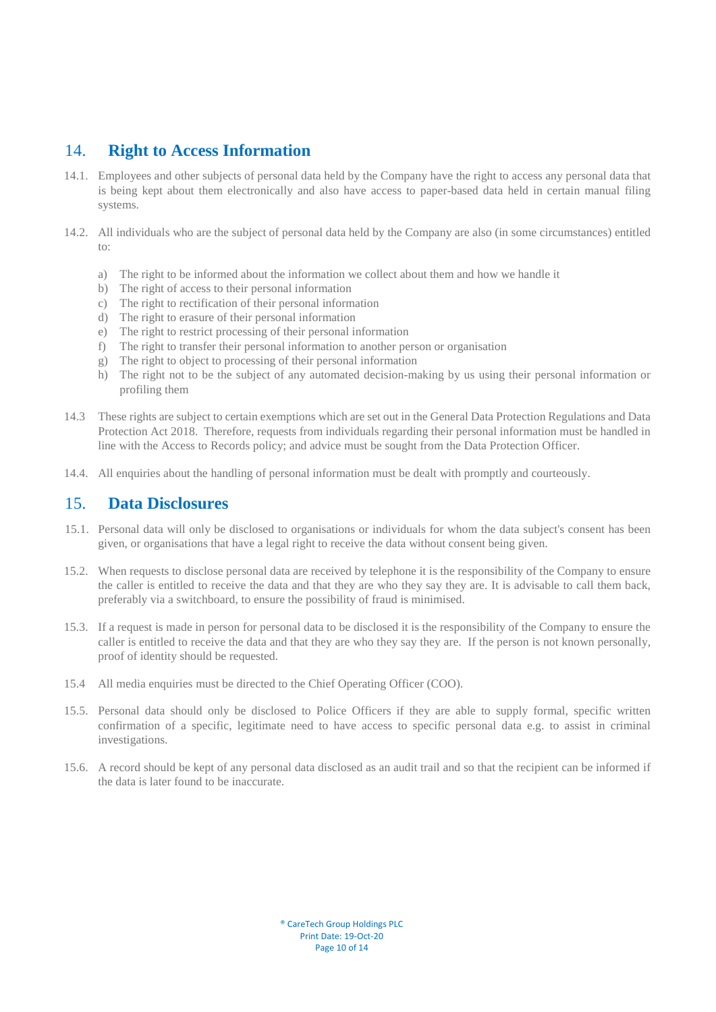## <span id="page-9-0"></span>14. **Right to Access Information**

- 14.1.Employees and other subjects of personal data held by the Company have the right to access any personal data that is being kept about them electronically and also have access to paper-based data held in certain manual filing systems.
- 14.2. All individuals who are the subject of personal data held by the Company are also (in some circumstances) entitled to:
	- a) The right to be informed about the information we collect about them and how we handle it
	- b) The right of access to their personal information
	- c) The right to rectification of their personal information
	- d) The right to erasure of their personal information
	- e) The right to restrict processing of their personal information
	- f) The right to transfer their personal information to another person or organisation
	- g) The right to object to processing of their personal information
	- h) The right not to be the subject of any automated decision-making by us using their personal information or profiling them
- 14.3 These rights are subject to certain exemptions which are set out in the General Data Protection Regulations and Data Protection Act 2018. Therefore, requests from individuals regarding their personal information must be handled in line with the Access to Records policy; and advice must be sought from the Data Protection Officer.
- 14.4. All enquiries about the handling of personal information must be dealt with promptly and courteously.

## <span id="page-9-1"></span>15. **Data Disclosures**

- 15.1. Personal data will only be disclosed to organisations or individuals for whom the data subject's consent has been given, or organisations that have a legal right to receive the data without consent being given.
- 15.2.When requests to disclose personal data are received by telephone it is the responsibility of the Company to ensure the caller is entitled to receive the data and that they are who they say they are. It is advisable to call them back, preferably via a switchboard, to ensure the possibility of fraud is minimised.
- 15.3.If a request is made in person for personal data to be disclosed it is the responsibility of the Company to ensure the caller is entitled to receive the data and that they are who they say they are. If the person is not known personally, proof of identity should be requested.
- 15.4 All media enquiries must be directed to the Chief Operating Officer (COO).
- 15.5.Personal data should only be disclosed to Police Officers if they are able to supply formal, specific written confirmation of a specific, legitimate need to have access to specific personal data e.g. to assist in criminal investigations.
- 15.6. A record should be kept of any personal data disclosed as an audit trail and so that the recipient can be informed if the data is later found to be inaccurate.

® CareTech Group Holdings PLC Print Date: 19-Oct-20 Page 10 of 14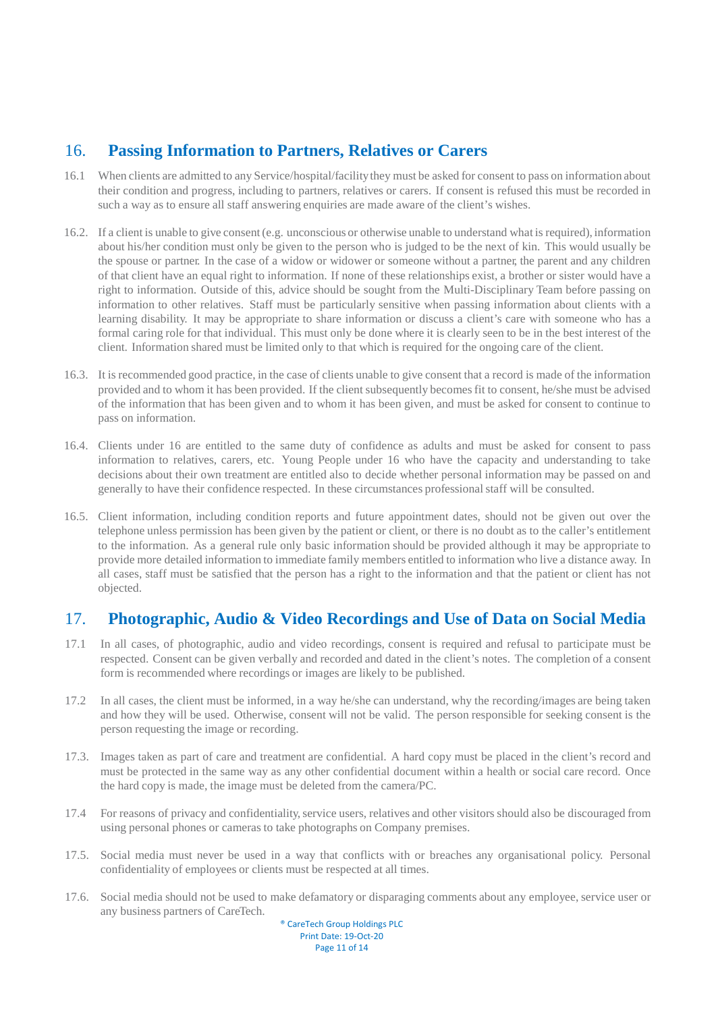# <span id="page-10-0"></span>16. **Passing Information to Partners, Relatives or Carers**

- 16.1 When clients are admitted to any Service/hospital/facility they must be asked for consent to pass on information about their condition and progress, including to partners, relatives or carers. If consent is refused this must be recorded in such a way as to ensure all staff answering enquiries are made aware of the client's wishes.
- 16.2. If a client is unable to give consent (e.g. unconscious or otherwise unable to understand what is required), information about his/her condition must only be given to the person who is judged to be the next of kin. This would usually be the spouse or partner. In the case of a widow or widower or someone without a partner, the parent and any children of that client have an equal right to information. If none of these relationships exist, a brother or sister would have a right to information. Outside of this, advice should be sought from the Multi-Disciplinary Team before passing on information to other relatives. Staff must be particularly sensitive when passing information about clients with a learning disability. It may be appropriate to share information or discuss a client's care with someone who has a formal caring role for that individual. This must only be done where it is clearly seen to be in the best interest of the client. Information shared must be limited only to that which is required for the ongoing care of the client.
- 16.3. It is recommended good practice, in the case of clients unable to give consent that a record is made of the information provided and to whom it has been provided. If the client subsequently becomes fit to consent, he/she must be advised of the information that has been given and to whom it has been given, and must be asked for consent to continue to pass on information.
- 16.4. Clients under 16 are entitled to the same duty of confidence as adults and must be asked for consent to pass information to relatives, carers, etc. Young People under 16 who have the capacity and understanding to take decisions about their own treatment are entitled also to decide whether personal information may be passed on and generally to have their confidence respected. In these circumstances professional staff will be consulted.
- 16.5. Client information, including condition reports and future appointment dates, should not be given out over the telephone unless permission has been given by the patient or client, or there is no doubt as to the caller's entitlement to the information. As a general rule only basic information should be provided although it may be appropriate to provide more detailed information to immediate family members entitled to information who live a distance away. In all cases, staff must be satisfied that the person has a right to the information and that the patient or client has not objected.

# <span id="page-10-1"></span>17. **Photographic, Audio & Video Recordings and Use of Data on Social Media**

- 17.1 In all cases, of photographic, audio and video recordings, consent is required and refusal to participate must be respected. Consent can be given verbally and recorded and dated in the client's notes. The completion of a consent form is recommended where recordings or images are likely to be published.
- 17.2 In all cases, the client must be informed, in a way he/she can understand, why the recording/images are being taken and how they will be used. Otherwise, consent will not be valid. The person responsible for seeking consent is the person requesting the image or recording.
- 17.3. Images taken as part of care and treatment are confidential. A hard copy must be placed in the client's record and must be protected in the same way as any other confidential document within a health or social care record. Once the hard copy is made, the image must be deleted from the camera/PC.
- 17.4 For reasons of privacy and confidentiality, service users, relatives and other visitors should also be discouraged from using personal phones or cameras to take photographs on Company premises.
- 17.5. Social media must never be used in a way that conflicts with or breaches any organisational policy. Personal confidentiality of employees or clients must be respected at all times.
- 17.6. Social media should not be used to make defamatory or disparaging comments about any employee, service user or any business partners of CareTech.

® CareTech Group Holdings PLC Print Date: 19-Oct-20 Page 11 of 14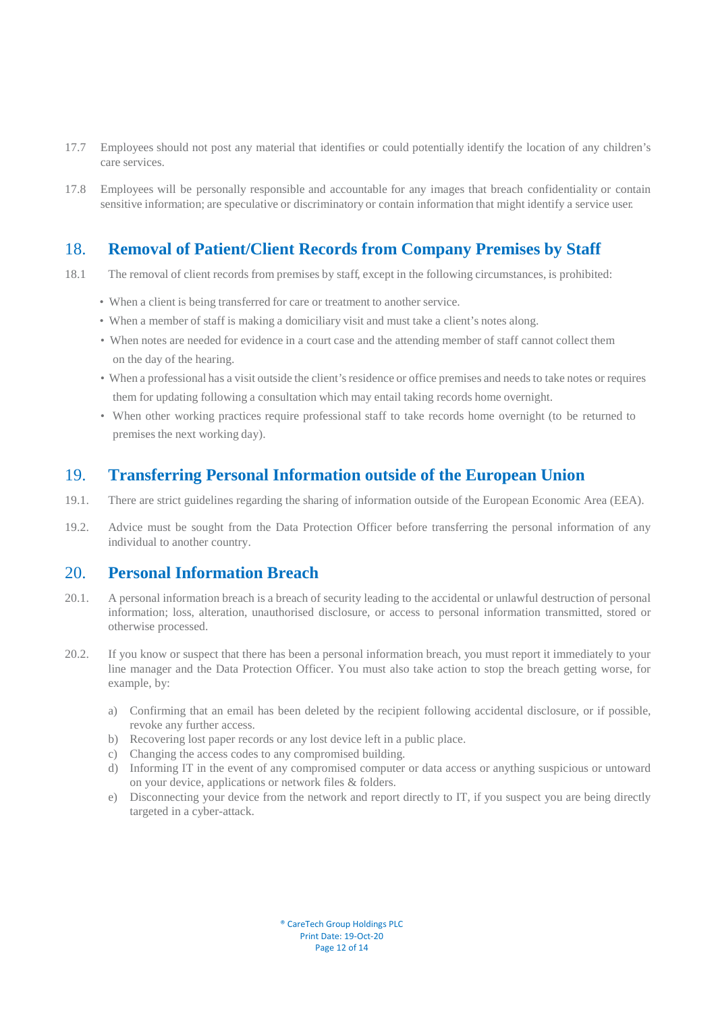- 17.7 Employees should not post any material that identifies or could potentially identify the location of any children's care services.
- 17.8 Employees will be personally responsible and accountable for any images that breach confidentiality or contain sensitive information; are speculative or discriminatory or contain information that might identify a service user.

## <span id="page-11-0"></span>18. **Removal of Patient/Client Records from Company Premises by Staff**

- 18.1 The removal of client records from premises by staff, except in the following circumstances, is prohibited:
	- When a client is being transferred for care or treatment to another service.
	- When a member of staff is making a domiciliary visit and must take a client's notes along.
	- When notes are needed for evidence in a court case and the attending member of staff cannot collect them on the day of the hearing.
	- When a professional has a visit outside the client's residence or office premises and needs to take notes or requires them for updating following a consultation which may entail taking records home overnight.
	- When other working practices require professional staff to take records home overnight (to be returned to premises the next working day).

# <span id="page-11-1"></span>19. **Transferring Personal Information outside of the European Union**

- 19.1. There are strict guidelines regarding the sharing of information outside of the European Economic Area (EEA).
- 19.2. Advice must be sought from the Data Protection Officer before transferring the personal information of any individual to another country.

## <span id="page-11-2"></span>20. **Personal Information Breach**

- 20.1. A personal information breach is a breach of security leading to the accidental or unlawful destruction of personal information; loss, alteration, unauthorised disclosure, or access to personal information transmitted, stored or otherwise processed.
- 20.2. If you know or suspect that there has been a personal information breach, you must report it immediately to your line manager and the Data Protection Officer. You must also take action to stop the breach getting worse, for example, by:
	- a) Confirming that an email has been deleted by the recipient following accidental disclosure, or if possible, revoke any further access.
	- b) Recovering lost paper records or any lost device left in a public place.
	- c) Changing the access codes to any compromised building.
	- d) Informing IT in the event of any compromised computer or data access or anything suspicious or untoward on your device, applications or network files & folders.
	- e) Disconnecting your device from the network and report directly to IT, if you suspect you are being directly targeted in a cyber-attack.

® CareTech Group Holdings PLC Print Date: 19-Oct-20 Page 12 of 14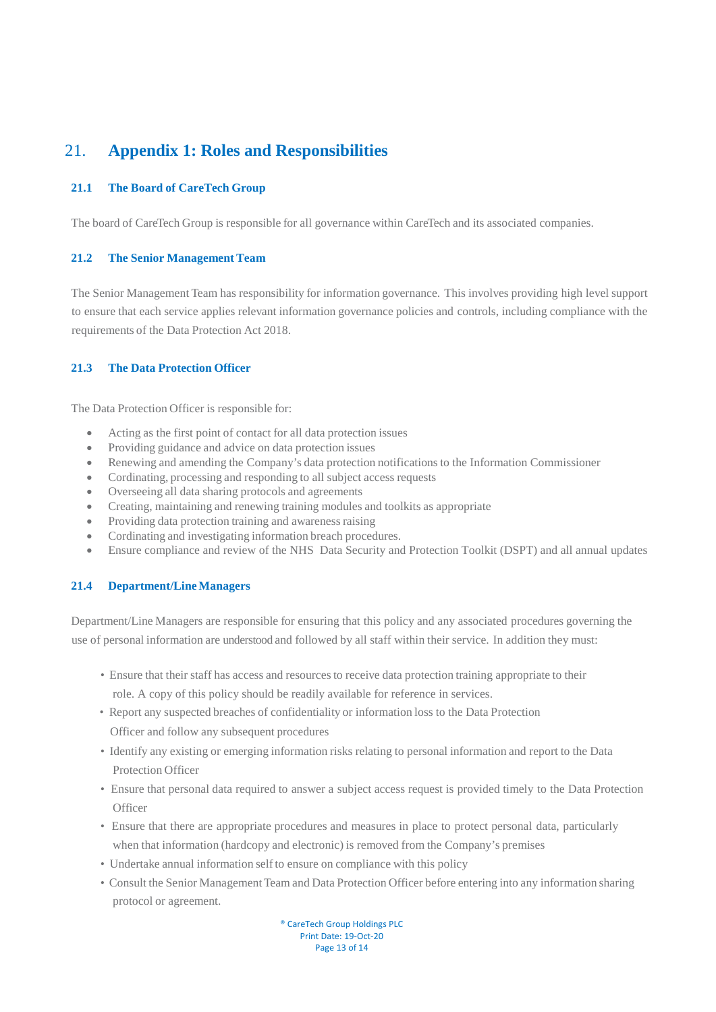# <span id="page-12-0"></span>21. **Appendix 1: Roles and Responsibilities**

### **21.1 The Board of CareTech Group**

The board of CareTech Group is responsible for all governance within CareTech and its associated companies.

#### **21.2 The Senior Management Team**

The Senior Management Team has responsibility for information governance. This involves providing high level support to ensure that each service applies relevant information governance policies and controls, including compliance with the requirements of the Data Protection Act 2018.

### **21.3 The Data Protection Officer**

The Data Protection Officer is responsible for:

- Acting as the first point of contact for all data protection issues
- Providing guidance and advice on data protection issues
- Renewing and amending the Company's data protection notifications to the Information Commissioner
- Cordinating, processing and responding to all subject access requests
- Overseeing all data sharing protocols and agreements
- Creating, maintaining and renewing training modules and toolkits as appropriate
- Providing data protection training and awareness raising
- Cordinating and investigating information breach procedures.
- Ensure compliance and review of the NHS Data Security and Protection Toolkit (DSPT) and all annual updates

#### **21.4 Department/Line Managers**

Department/Line Managers are responsible for ensuring that this policy and any associated procedures governing the use of personal information are understood and followed by all staff within their service. In addition they must:

- Ensure that their staff has access and resources to receive data protection training appropriate to their role. A copy of this policy should be readily available for reference in services.
- Report any suspected breaches of confidentiality or information loss to the Data Protection Officer and follow any subsequent procedures
- Identify any existing or emerging information risks relating to personal information and report to the Data Protection Officer
- Ensure that personal data required to answer a subject access request is provided timely to the Data Protection **Officer**
- Ensure that there are appropriate procedures and measures in place to protect personal data, particularly when that information (hardcopy and electronic) is removed from the Company's premises
- Undertake annual information self to ensure on compliance with this policy
- Consult the Senior Management Team and Data Protection Officer before entering into any information sharing protocol or agreement.

® CareTech Group Holdings PLC Print Date: 19-Oct-20 Page 13 of 14